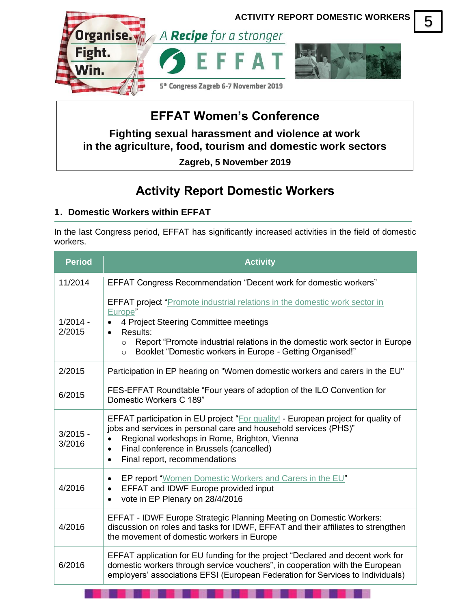

# **EFFAT Women's Conference**

**Fighting sexual harassment and violence at work in the agriculture, food, tourism and domestic work sectors**

**Zagreb, 5 November 2019**

# **Activity Report Domestic Workers**

## **1. Domestic Workers within EFFAT**

In the last Congress period, EFFAT has significantly increased activities in the field of domestic workers.

| <b>Period</b>        | <b>Activity</b>                                                                                                                                                                                                                                                                                                                  |
|----------------------|----------------------------------------------------------------------------------------------------------------------------------------------------------------------------------------------------------------------------------------------------------------------------------------------------------------------------------|
| 11/2014              | <b>EFFAT Congress Recommendation "Decent work for domestic workers"</b>                                                                                                                                                                                                                                                          |
| $1/2014 -$<br>2/2015 | <b>EFFAT project</b> "Promote industrial relations in the domestic work sector in<br>Europe"<br>4 Project Steering Committee meetings<br>$\bullet$<br>Results:<br>Report "Promote industrial relations in the domestic work sector in Europe<br>$\circ$<br>Booklet "Domestic workers in Europe - Getting Organised!"<br>$\circ$  |
| 2/2015               | Participation in EP hearing on "Women domestic workers and carers in the EU"                                                                                                                                                                                                                                                     |
| 6/2015               | FES-EFFAT Roundtable "Four years of adoption of the ILO Convention for<br>Domestic Workers C 189"                                                                                                                                                                                                                                |
| $3/2015 -$<br>3/2016 | <b>EFFAT participation in EU project "For quality! - European project for quality of</b><br>jobs and services in personal care and household services (PHS)"<br>Regional workshops in Rome, Brighton, Vienna<br>$\bullet$<br>Final conference in Brussels (cancelled)<br>$\bullet$<br>Final report, recommendations<br>$\bullet$ |
| 4/2016               | EP report "Women Domestic Workers and Carers in the EU"<br>$\bullet$<br><b>EFFAT and IDWF Europe provided input</b><br>$\bullet$<br>vote in EP Plenary on 28/4/2016<br>$\bullet$                                                                                                                                                 |
| 4/2016               | EFFAT - IDWF Europe Strategic Planning Meeting on Domestic Workers:<br>discussion on roles and tasks for IDWF, EFFAT and their affiliates to strengthen<br>the movement of domestic workers in Europe                                                                                                                            |
| 6/2016               | EFFAT application for EU funding for the project "Declared and decent work for<br>domestic workers through service vouchers", in cooperation with the European<br>employers' associations EFSI (European Federation for Services to Individuals)                                                                                 |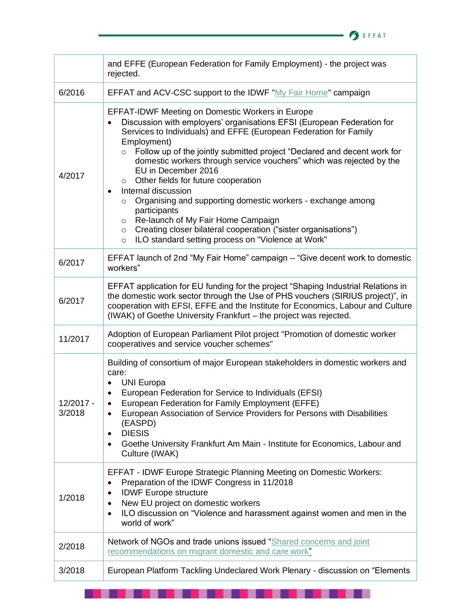

|                     | and EFFE (European Federation for Family Employment) - the project was<br>rejected.                                                                                                                                                                                                                                                                                                                                                                                                                                                                                                                                                                                                                                                                                                                     |
|---------------------|---------------------------------------------------------------------------------------------------------------------------------------------------------------------------------------------------------------------------------------------------------------------------------------------------------------------------------------------------------------------------------------------------------------------------------------------------------------------------------------------------------------------------------------------------------------------------------------------------------------------------------------------------------------------------------------------------------------------------------------------------------------------------------------------------------|
| 6/2016              | EFFAT and ACV-CSC support to the IDWF "My Fair Home" campaign                                                                                                                                                                                                                                                                                                                                                                                                                                                                                                                                                                                                                                                                                                                                           |
| 4/2017              | <b>EFFAT-IDWF Meeting on Domestic Workers in Europe</b><br>Discussion with employers' organisations EFSI (European Federation for<br>$\bullet$<br>Services to Individuals) and EFFE (European Federation for Family<br>Employment)<br>Follow up of the jointly submitted project "Declared and decent work for<br>$\circ$<br>domestic workers through service vouchers" which was rejected by the<br>EU in December 2016<br>Other fields for future cooperation<br>$\circ$<br>Internal discussion<br>$\bullet$<br>Organising and supporting domestic workers - exchange among<br>$\circ$<br>participants<br>Re-launch of My Fair Home Campaign<br>$\circ$<br>Creating closer bilateral cooperation ("sister organisations")<br>$\circ$<br>ILO standard setting process on "Violence at Work"<br>$\circ$ |
| 6/2017              | EFFAT launch of 2nd "My Fair Home" campaign - "Give decent work to domestic<br>workers"                                                                                                                                                                                                                                                                                                                                                                                                                                                                                                                                                                                                                                                                                                                 |
| 6/2017              | EFFAT application for EU funding for the project "Shaping Industrial Relations in<br>the domestic work sector through the Use of PHS vouchers (SIRIUS project)", in<br>cooperation with EFSI, EFFE and the Institute for Economics, Labour and Culture<br>(IWAK) of Goethe University Frankfurt - the project was rejected.                                                                                                                                                                                                                                                                                                                                                                                                                                                                             |
| 11/2017             | Adoption of European Parliament Pilot project "Promotion of domestic worker<br>cooperatives and service voucher schemes"                                                                                                                                                                                                                                                                                                                                                                                                                                                                                                                                                                                                                                                                                |
| 12/2017 -<br>3/2018 | Building of consortium of major European stakeholders in domestic workers and<br>care:<br><b>UNI Europa</b><br>European Federation for Service to Individuals (EFSI)<br>European Federation for Family Employment (EFFE)<br>٠<br>European Association of Service Providers for Persons with Disabilities<br>٠<br>(EASPD)<br><b>DIESIS</b><br>٠<br>Goethe University Frankfurt Am Main - Institute for Economics, Labour and<br>٠<br>Culture (IWAK)                                                                                                                                                                                                                                                                                                                                                      |
| 1/2018              | <b>EFFAT - IDWF Europe Strategic Planning Meeting on Domestic Workers:</b><br>Preparation of the IDWF Congress in 11/2018<br>٠<br><b>IDWF Europe structure</b><br>New EU project on domestic workers<br>٠<br>ILO discussion on "Violence and harassment against women and men in the<br>$\bullet$<br>world of work"                                                                                                                                                                                                                                                                                                                                                                                                                                                                                     |
| 2/2018              | Network of NGOs and trade unions issued "Shared concerns and joint<br>recommendations on migrant domestic and care work"                                                                                                                                                                                                                                                                                                                                                                                                                                                                                                                                                                                                                                                                                |
| 3/2018              | European Platform Tackling Undeclared Work Plenary - discussion on "Elements"                                                                                                                                                                                                                                                                                                                                                                                                                                                                                                                                                                                                                                                                                                                           |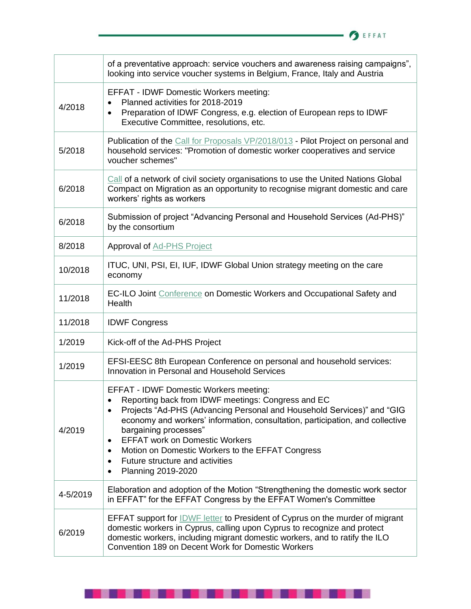

|          | of a preventative approach: service vouchers and awareness raising campaigns",<br>looking into service voucher systems in Belgium, France, Italy and Austria                                                                                                                                                                                                                                                                                                                                            |
|----------|---------------------------------------------------------------------------------------------------------------------------------------------------------------------------------------------------------------------------------------------------------------------------------------------------------------------------------------------------------------------------------------------------------------------------------------------------------------------------------------------------------|
| 4/2018   | <b>EFFAT - IDWF Domestic Workers meeting:</b><br>Planned activities for 2018-2019<br>Preparation of IDWF Congress, e.g. election of European reps to IDWF<br>٠<br>Executive Committee, resolutions, etc.                                                                                                                                                                                                                                                                                                |
| 5/2018   | Publication of the Call for Proposals VP/2018/013 - Pilot Project on personal and<br>household services: "Promotion of domestic worker cooperatives and service<br>voucher schemes"                                                                                                                                                                                                                                                                                                                     |
| 6/2018   | Call of a network of civil society organisations to use the United Nations Global<br>Compact on Migration as an opportunity to recognise migrant domestic and care<br>workers' rights as workers                                                                                                                                                                                                                                                                                                        |
| 6/2018   | Submission of project "Advancing Personal and Household Services (Ad-PHS)"<br>by the consortium                                                                                                                                                                                                                                                                                                                                                                                                         |
| 8/2018   | <b>Approval of Ad-PHS Project</b>                                                                                                                                                                                                                                                                                                                                                                                                                                                                       |
| 10/2018  | ITUC, UNI, PSI, EI, IUF, IDWF Global Union strategy meeting on the care<br>economy                                                                                                                                                                                                                                                                                                                                                                                                                      |
| 11/2018  | EC-ILO Joint Conference on Domestic Workers and Occupational Safety and<br>Health                                                                                                                                                                                                                                                                                                                                                                                                                       |
| 11/2018  | <b>IDWF Congress</b>                                                                                                                                                                                                                                                                                                                                                                                                                                                                                    |
| 1/2019   | Kick-off of the Ad-PHS Project                                                                                                                                                                                                                                                                                                                                                                                                                                                                          |
| 1/2019   | EFSI-EESC 8th European Conference on personal and household services:<br>Innovation in Personal and Household Services                                                                                                                                                                                                                                                                                                                                                                                  |
| 4/2019   | EFFAT - IDWF Domestic Workers meeting:<br>Reporting back from IDWF meetings: Congress and EC<br>Projects "Ad-PHS (Advancing Personal and Household Services)" and "GIG<br>$\bullet$<br>economy and workers' information, consultation, participation, and collective<br>bargaining processes"<br><b>EFFAT work on Domestic Workers</b><br>$\bullet$<br>Motion on Domestic Workers to the EFFAT Congress<br>$\bullet$<br>Future structure and activities<br>$\bullet$<br>Planning 2019-2020<br>$\bullet$ |
| 4-5/2019 | Elaboration and adoption of the Motion "Strengthening the domestic work sector<br>in EFFAT" for the EFFAT Congress by the EFFAT Women's Committee                                                                                                                                                                                                                                                                                                                                                       |
| 6/2019   | EFFAT support for <b>IDWF</b> letter to President of Cyprus on the murder of migrant<br>domestic workers in Cyprus, calling upon Cyprus to recognize and protect<br>domestic workers, including migrant domestic workers, and to ratify the ILO<br>Convention 189 on Decent Work for Domestic Workers                                                                                                                                                                                                   |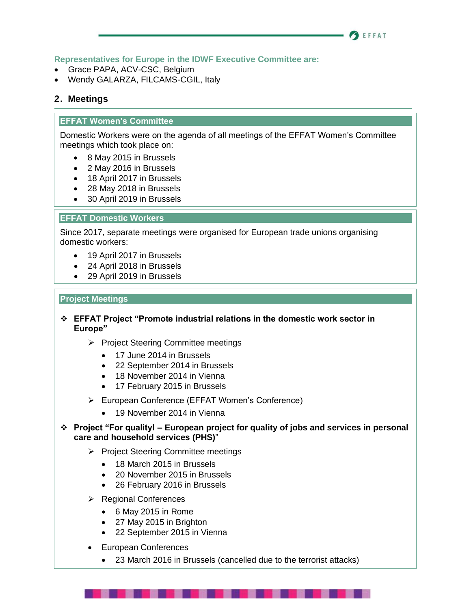#### **BEFFAT**

## **Representatives for Europe in the IDWF Executive Committee are:**

- Grace PAPA, ACV-CSC, Belgium
- Wendy GALARZA, FILCAMS-CGIL, Italy

## **2. Meetings**

### **EFFAT Women's Committee**

Domestic Workers were on the agenda of all meetings of the EFFAT Women's Committee meetings which took place on:

- 8 May 2015 in Brussels
- 2 May 2016 in Brussels
- 18 April 2017 in Brussels
- 28 May 2018 in Brussels
- 30 April 2019 in Brussels

### **EFFAT Domestic Workers**

Since 2017, separate meetings were organised for European trade unions organising domestic workers:

- 19 April 2017 in Brussels
- 24 April 2018 in Brussels
- 29 April 2019 in Brussels

#### **Project Meetings**

- ❖ **EFFAT Project "Promote industrial relations in the domestic work sector in Europe"**
	- ➢ Project Steering Committee meetings
		- 17 June 2014 in Brussels
		- 22 September 2014 in Brussels
		- 18 November 2014 in Vienna
		- 17 February 2015 in Brussels
	- ➢ European Conference (EFFAT Women's Conference)
		- 19 November 2014 in Vienna
- ❖ **Project "For quality! – European project for quality of jobs and services in personal care and household services (PHS)**"
	- ➢ Project Steering Committee meetings
		- 18 March 2015 in Brussels
		- 20 November 2015 in Brussels
		- 26 February 2016 in Brussels
	- ➢ Regional Conferences
		- 6 May 2015 in Rome
		- 27 May 2015 in Brighton
		- 22 September 2015 in Vienna
	- European Conferences
		- 23 March 2016 in Brussels (cancelled due to the terrorist attacks)